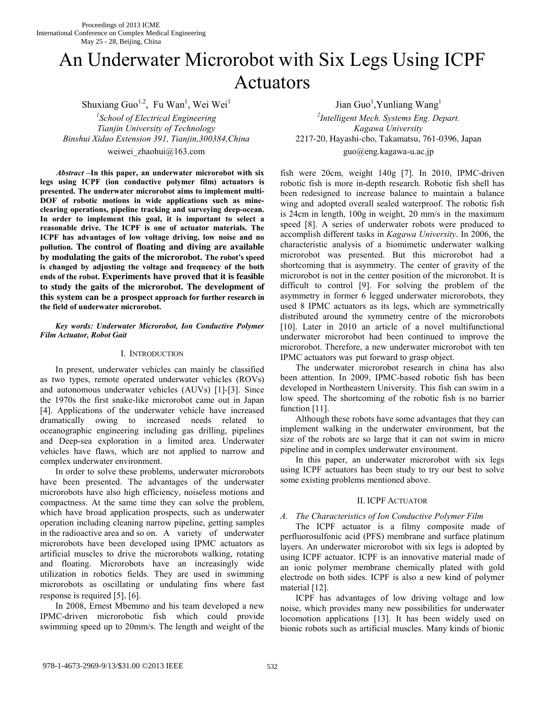# An Underwater Microrobot with Six Legs Using ICPF Actuators

Shuxiang Guo<sup>1,2</sup>, Fu Wan<sup>1</sup>, Wei Wei<sup>1</sup>

*1 School of Electrical Engineering <sup>2</sup> Tianjin University of Technology Kagawa University Binshui Xidao Extension 391, Tianjin,300384,China* 2217-20, Hayashi-cho, Takamatsu, 761-0396, Japan weiwei zhaohui@163.com guo@eng.kagawa-u.ac.jp

*Abstract –***In this paper, an underwater microrobot with six legs using ICPF (ion conductive polymer film) actuators is presented. The underwater microrobot aims to implement multi-DOF of robotic motions in wide applications such as mineclearing operations, pipeline tracking and surveying deep-ocean. In order to implement this goal, it is important to select a reasonable drive. The ICPF is one of actuator materials. The ICPF has advantages of low voltage driving, low noise and no pollution. The control of floating and diving are available by modulating the gaits of the microrobot. The robot's speed is changed by adjusting the voltage and frequency of the both ends of the robot. Experiments have proved that it is feasible to study the gaits of the microrobot. The development of this system can be a prospect approach for further research in the field of underwater microrobot.**

### *Key words: Underwater Microrobot, Ion Conductive Polymer Film Actuator, Robot Gait*

## I. INTRODUCTION

 In present, underwater vehicles can mainly be classified as two types, remote operated underwater vehicles (ROVs) and autonomous underwater vehicles (AUVs) [1]-[3]. Since the 1970s the first snake-like microrobot came out in Japan [4]. Applications of the underwater vehicle have increased dramatically owing to increased needs related to oceanographic engineering including gas drilling, pipelines and Deep-sea exploration in a limited area. Underwater vehicles have flaws, which are not applied to narrow and complex underwater environment.

 In order to solve these problems, underwater microrobots have been presented. The advantages of the underwater microrobots have also high efficiency, noiseless motions and compactness. At the same time they can solve the problem, which have broad application prospects, such as underwater operation including cleaning narrow pipeline, getting samples in the radioactive area and so on. A variety of underwater microrobots have been developed using IPMC actuators as artificial muscles to drive the microrobots walking, rotating and floating. Microrobots have an increasingly wide utilization in robotics fields. They are used in swimming microrobots as oscillating or undulating fins where fast response is required [5], [6].

 In 2008, Ernest Mbemmo and his team developed a new IPMC-driven microrobotic fish which could provide swimming speed up to 20mm/s. The length and weight of the

Jian Guo<sup>1</sup>, Yunliang Wang<sup>1</sup> *Intelligent Mech. Systems Eng. Depart.* 

> fish were 20cm, weight 140g [7]. In 2010, IPMC-driven robotic fish is more in-depth research. Robotic fish shell has been redesigned to increase balance to maintain a balance wing and adopted overall sealed waterproof. The robotic fish is 24cm in length, 100g in weight, 20 mm/s in the maximum speed [8]. A series of underwater robots were produced to accomplish different tasks in *Kagawa University*. In 2006, the characteristic analysis of a biomimetic underwater walking microrobot was presented. But this microrobot had a shortcoming that is asymmetry. The center of gravity of the microrobot is not in the center position of the microrobot. It is difficult to control [9]. For solving the problem of the asymmetry in former 6 legged underwater microrobots, they used 8 IPMC actuators as its legs, which are symmetrically distributed around the symmetry centre of the microrobots [10]. Later in 2010 an article of a novel multifunctional underwater microrobot had been continued to improve the microrobot. Therefore, a new underwater microrobot with ten IPMC actuators was put forward to grasp object.

> The underwater microrobot research in china has also been attention. In 2009, IPMC-based robotic fish has been developed in Northeastern University. This fish can swim in a low speed. The shortcoming of the robotic fish is no barrier function [11].

> Although these robots have some advantages that they can implement walking in the underwater environment, but the size of the robots are so large that it can not swim in micro pipeline and in complex underwater environment.

> In this paper, an underwater microrobot with six legs using ICPF actuators has been study to try our best to solve some existing problems mentioned above.

## II. ICPF ACTUATOR

# *A. The Characteristics of Ion Conductive Polymer Film*

 The ICPF actuator is a filmy composite made of perfluorosulfonic acid (PFS) membrane and surface platinum layers. An underwater microrobot with six legs is adopted by using ICPF actuator. ICPF is an innovative material made of an ionic polymer membrane chemically plated with gold electrode on both sides. ICPF is also a new kind of polymer material [12].

 ICPF has advantages of low driving voltage and low noise, which provides many new possibilities for underwater locomotion applications [13]. It has been widely used on bionic robots such as artificial muscles. Many kinds of bionic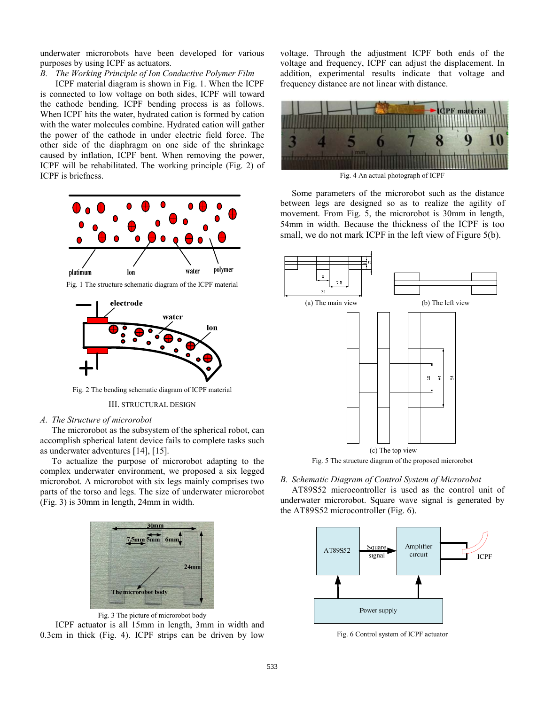underwater microrobots have been developed for various purposes by using ICPF as actuators.

*B. The Working Principle of Ion Conductive Polymer Film* 

 ICPF material diagram is shown in Fig. 1. When the ICPF is connected to low voltage on both sides, ICPF will toward the cathode bending. ICPF bending process is as follows. When ICPF hits the water, hydrated cation is formed by cation with the water molecules combine. Hydrated cation will gather the power of the cathode in under electric field force. The other side of the diaphragm on one side of the shrinkage caused by inflation, ICPF bent. When removing the power, ICPF will be rehabilitated. The working principle (Fig. 2) of ICPF is briefness.



Fig. 1 The structure schematic diagram of the ICPF material



Fig. 2 The bending schematic diagram of ICPF material

#### III. STRUCTURAL DESIGN

#### *A. The Structure of microrobot*

 The microrobot as the subsystem of the spherical robot, can accomplish spherical latent device fails to complete tasks such as underwater adventures [14], [15].

 To actualize the purpose of microrobot adapting to the complex underwater environment, we proposed a six legged microrobot. A microrobot with six legs mainly comprises two parts of the torso and legs. The size of underwater microrobot (Fig. 3) is 30mm in length, 24mm in width.



Fig. 3 The picture of microrobot body ICPF actuator is all 15mm in length, 3mm in width and 0.3cm in thick (Fig. 4). ICPF strips can be driven by low

voltage. Through the adjustment ICPF both ends of the voltage and frequency, ICPF can adjust the displacement. In addition, experimental results indicate that voltage and frequency distance are not linear with distance.



 Some parameters of the microrobot such as the distance between legs are designed so as to realize the agility of movement. From Fig. 5, the microrobot is 30mm in length, 54mm in width. Because the thickness of the ICPF is too small, we do not mark ICPF in the left view of Figure 5(b).



# *B. Schematic Diagram of Control System of Microrobot*

AT89S52 microcontroller is used as the control unit of underwater microrobot. Square wave signal is generated by the AT89S52 microcontroller (Fig. 6).



Fig. 6 Control system of ICPF actuator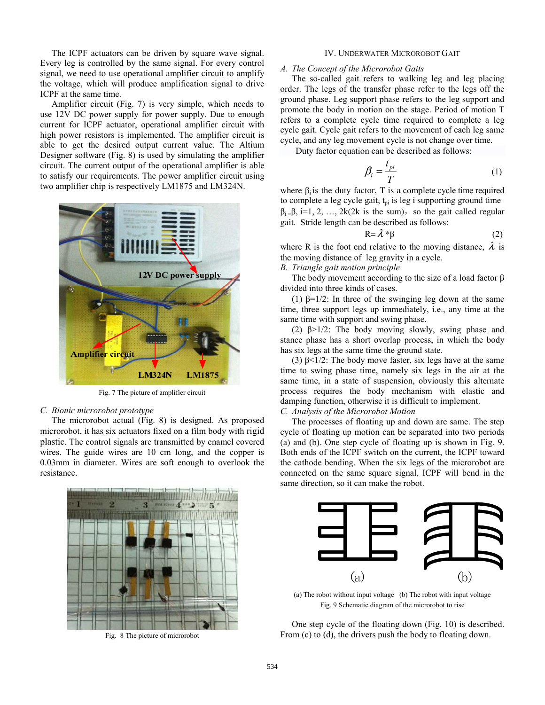The ICPF actuators can be driven by square wave signal. Every leg is controlled by the same signal. For every control signal, we need to use operational amplifier circuit to amplify the voltage, which will produce amplification signal to drive ICPF at the same time.

 Amplifier circuit (Fig. 7) is very simple, which needs to use 12V DC power supply for power supply. Due to enough current for ICPF actuator, operational amplifier circuit with high power resistors is implemented. The amplifier circuit is able to get the desired output current value. The Altium Designer software (Fig. 8) is used by simulating the amplifier circuit. The current output of the operational amplifier is able to satisfy our requirements. The power amplifier circuit using two amplifier chip is respectively LM1875 and LM324N.



Fig. 7 The picture of amplifier circuit

### *C. Bionic microrobot prototype*

 The microrobot actual (Fig. 8) is designed. As proposed microrobot, it has six actuators fixed on a film body with rigid plastic. The control signals are transmitted by enamel covered wires. The guide wires are 10 cm long, and the copper is 0.03mm in diameter. Wires are soft enough to overlook the resistance.



Fig. 8 The picture of microrobot

#### IV. UNDERWATER MICROROBOT GAIT

## *A. The Concept of the Microrobot Gaits*

 The so-called gait refers to walking leg and leg placing order. The legs of the transfer phase refer to the legs off the ground phase. Leg support phase refers to the leg support and promote the body in motion on the stage. Period of motion T refers to a complete cycle time required to complete a leg cycle gait. Cycle gait refers to the movement of each leg same cycle, and any leg movement cycle is not change over time.

Duty factor equation can be described as follows:

$$
\beta_i = \frac{t_{pi}}{T} \tag{1}
$$

where  $\beta_i$  is the duty factor, T is a complete cycle time required to complete a leg cycle gait,  $t_{pi}$  is leg i supporting ground time  $\beta_i = \beta$ , i=1, 2, ..., 2k(2k is the sum), so the gait called regular gait. Stride length can be described as follows:

$$
R = \lambda * \beta \tag{2}
$$

where R is the foot end relative to the moving distance,  $\lambda$  is the moving distance of leg gravity in a cycle.

## *B. Triangle gait motion principle*

The body movement according to the size of a load factor  $\beta$ divided into three kinds of cases.

(1)  $\beta = 1/2$ : In three of the swinging leg down at the same time, three support legs up immediately, i.e., any time at the same time with support and swing phase.

 (2) β>1/2: The body moving slowly, swing phase and stance phase has a short overlap process, in which the body has six legs at the same time the ground state.

(3)  $\beta$ <1/2: The body move faster, six legs have at the same time to swing phase time, namely six legs in the air at the same time, in a state of suspension, obviously this alternate process requires the body mechanism with elastic and damping function, otherwise it is difficult to implement.

# *C. Analysis of the Microrobot Motion*

 The processes of floating up and down are same. The step cycle of floating up motion can be separated into two periods (a) and (b). One step cycle of floating up is shown in Fig. 9. Both ends of the ICPF switch on the current, the ICPF toward the cathode bending. When the six legs of the microrobot are connected on the same square signal, ICPF will bend in the same direction, so it can make the robot.



(a) The robot without input voltage (b) The robot with input voltage Fig. 9 Schematic diagram of the microrobot to rise

 One step cycle of the floating down (Fig. 10) is described. From (c) to (d), the drivers push the body to floating down.